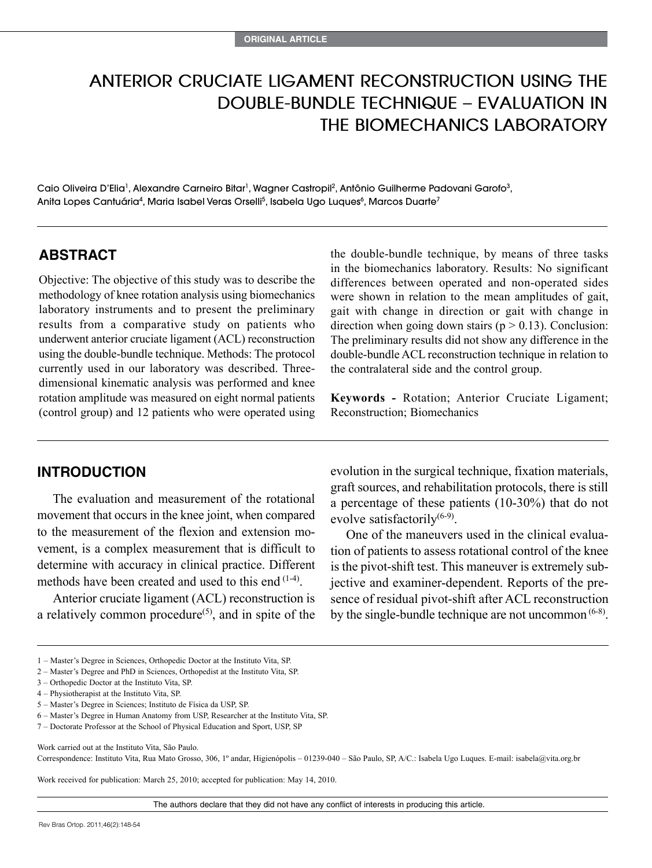# **Anterior Cruciate Ligament Reconstruction using the Double-Bundle Technique – Evaluation in the Biomechanics Laboratory**

Caio Oliveira D'Elia<sup>1</sup>, Alexandre Carneiro Bitar<sup>1</sup>, Wagner Castropil<sup>2</sup>, Antônio Guilherme Padovani Garofo<sup>3</sup>, Anita Lopes Cantuária<sup>4</sup>, Maria Isabel Veras Orselli<sup>5</sup>, Isabela Ugo Luques<sup>6</sup>, Marcos Duarte<sup>7</sup>

### **ABSTRACT**

Objective: The objective of this study was to describe the methodology of knee rotation analysis using biomechanics laboratory instruments and to present the preliminary results from a comparative study on patients who underwent anterior cruciate ligament (ACL) reconstruction using the double-bundle technique. Methods: The protocol currently used in our laboratory was described. Threedimensional kinematic analysis was performed and knee rotation amplitude was measured on eight normal patients (control group) and 12 patients who were operated using the double-bundle technique, by means of three tasks in the biomechanics laboratory. Results: No significant differences between operated and non-operated sides were shown in relation to the mean amplitudes of gait, gait with change in direction or gait with change in direction when going down stairs ( $p > 0.13$ ). Conclusion: The preliminary results did not show any difference in the double-bundle ACL reconstruction technique in relation to the contralateral side and the control group.

**Keywords -** Rotation; Anterior Cruciate Ligament; Reconstruction; Biomechanics

# **INTRODUCTION**

The evaluation and measurement of the rotational movement that occurs in the knee joint, when compared to the measurement of the flexion and extension movement, is a complex measurement that is difficult to determine with accuracy in clinical practice. Different methods have been created and used to this end (1-4).

Anterior cruciate ligament (ACL) reconstruction is a relatively common procedure<sup> $(5)$ </sup>, and in spite of the evolution in the surgical technique, fixation materials, graft sources, and rehabilitation protocols, there is still a percentage of these patients (10-30%) that do not evolve satisfactorily $(6-9)$ .

One of the maneuvers used in the clinical evaluation of patients to assess rotational control of the knee is the pivot-shift test. This maneuver is extremely subjective and examiner-dependent. Reports of the presence of residual pivot-shift after ACL reconstruction by the single-bundle technique are not uncommon  $(6-8)$ .

- 2 Master's Degree and PhD in Sciences, Orthopedist at the Instituto Vita, SP.
- 3 Orthopedic Doctor at the Instituto Vita, SP.
- 4 Physiotherapist at the Instituto Vita, SP.
- 5 Master's Degree in Sciences; Instituto de Física da USP, SP.

7 – Doctorate Professor at the School of Physical Education and Sport, USP, SP

Work carried out at the Instituto Vita, São Paulo.

Correspondence: Instituto Vita, Rua Mato Grosso, 306, 1º andar, Higienópolis – 01239-040 – São Paulo, SP, A/C.: Isabela Ugo Luques. E-mail: isabela@vita.org.br

Work received for publication: March 25, 2010; accepted for publication: May 14, 2010.

The authors declare that they did not have any conflict of interests in producing this article.

<sup>1 –</sup> Master's Degree in Sciences, Orthopedic Doctor at the Instituto Vita, SP.

<sup>6 –</sup> Master's Degree in Human Anatomy from USP, Researcher at the Instituto Vita, SP.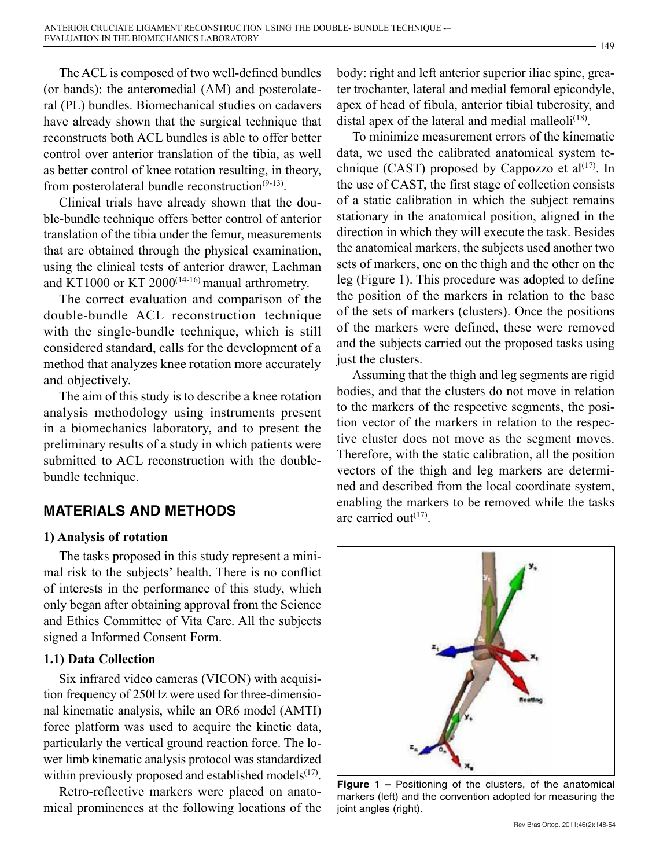The ACL is composed of two well-defined bundles (or bands): the anteromedial (AM) and posterolateral (PL) bundles. Biomechanical studies on cadavers have already shown that the surgical technique that reconstructs both ACL bundles is able to offer better control over anterior translation of the tibia, as well as better control of knee rotation resulting, in theory, from posterolateral bundle reconstruction $(9-13)$ .

Clinical trials have already shown that the double-bundle technique offers better control of anterior translation of the tibia under the femur, measurements that are obtained through the physical examination, using the clinical tests of anterior drawer, Lachman and KT1000 or KT 2000<sup>(14-16)</sup> manual arthrometry.

The correct evaluation and comparison of the double-bundle ACL reconstruction technique with the single-bundle technique, which is still considered standard, calls for the development of a method that analyzes knee rotation more accurately and objectively.

The aim of this study is to describe a knee rotation analysis methodology using instruments present in a biomechanics laboratory, and to present the preliminary results of a study in which patients were submitted to ACL reconstruction with the doublebundle technique.

# **MATERIALS AND METHODS**

#### **1) Analysis of rotation**

The tasks proposed in this study represent a minimal risk to the subjects' health. There is no conflict of interests in the performance of this study, which only began after obtaining approval from the Science and Ethics Committee of Vita Care. All the subjects signed a Informed Consent Form.

## **1.1) Data Collection**

Six infrared video cameras (VICON) with acquisition frequency of 250Hz were used for three-dimensional kinematic analysis, while an OR6 model (AMTI) force platform was used to acquire the kinetic data, particularly the vertical ground reaction force. The lower limb kinematic analysis protocol was standardized within previously proposed and established models $(17)$ .

Retro-reflective markers were placed on anatomical prominences at the following locations of the body: right and left anterior superior iliac spine, greater trochanter, lateral and medial femoral epicondyle, apex of head of fibula, anterior tibial tuberosity, and distal apex of the lateral and medial malleoli $(18)$ .

To minimize measurement errors of the kinematic data, we used the calibrated anatomical system technique (CAST) proposed by Cappozzo et  $al^{(17)}$ . In the use of CAST, the first stage of collection consists of a static calibration in which the subject remains stationary in the anatomical position, aligned in the direction in which they will execute the task. Besides the anatomical markers, the subjects used another two sets of markers, one on the thigh and the other on the leg (Figure 1). This procedure was adopted to define the position of the markers in relation to the base of the sets of markers (clusters). Once the positions of the markers were defined, these were removed and the subjects carried out the proposed tasks using just the clusters.

Assuming that the thigh and leg segments are rigid bodies, and that the clusters do not move in relation to the markers of the respective segments, the position vector of the markers in relation to the respective cluster does not move as the segment moves. Therefore, with the static calibration, all the position vectors of the thigh and leg markers are determined and described from the local coordinate system, enabling the markers to be removed while the tasks are carried out $(17)$ .



**Figure 1 –** Positioning of the clusters, of the anatomical markers (left) and the convention adopted for measuring the joint angles (right).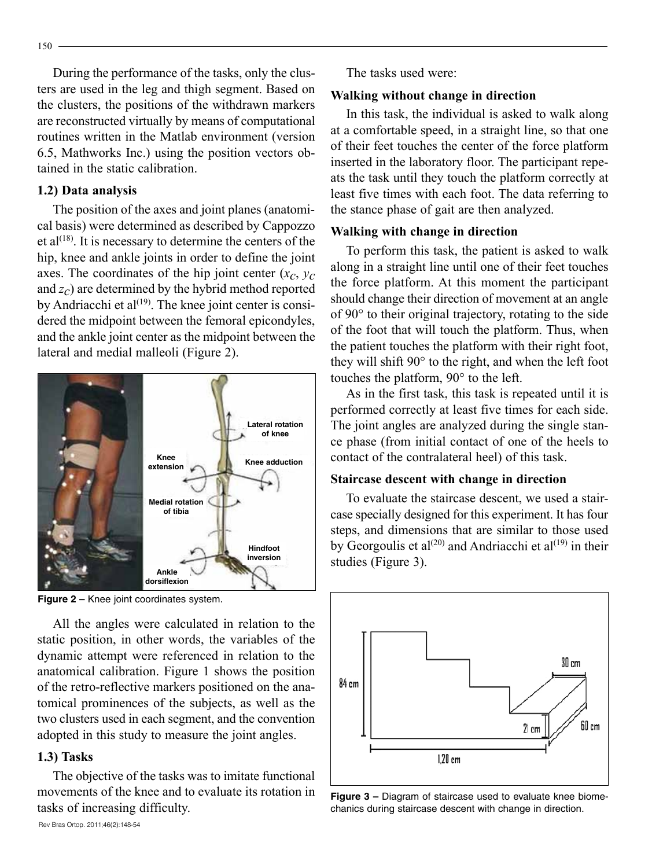During the performance of the tasks, only the clusters are used in the leg and thigh segment. Based on the clusters, the positions of the withdrawn markers are reconstructed virtually by means of computational routines written in the Matlab environment (version 6.5, Mathworks Inc.) using the position vectors obtained in the static calibration.

#### **1.2) Data analysis**

The position of the axes and joint planes (anatomical basis) were determined as described by Cappozzo et al<sup> $(18)$ </sup>. It is necessary to determine the centers of the hip, knee and ankle joints in order to define the joint axes. The coordinates of the hip joint center  $(x_c, y_c)$ and *zc*) are determined by the hybrid method reported by Andriacchi et al $(19)$ . The knee joint center is considered the midpoint between the femoral epicondyles, and the ankle joint center as the midpoint between the lateral and medial malleoli (Figure 2).



**Figure 2 –** Knee joint coordinates system.

All the angles were calculated in relation to the static position, in other words, the variables of the dynamic attempt were referenced in relation to the anatomical calibration. Figure 1 shows the position of the retro-reflective markers positioned on the anatomical prominences of the subjects, as well as the two clusters used in each segment, and the convention adopted in this study to measure the joint angles.

#### **1.3) Tasks**

The objective of the tasks was to imitate functional movements of the knee and to evaluate its rotation in tasks of increasing difficulty.

The tasks used were:

## **Walking without change in direction**

In this task, the individual is asked to walk along at a comfortable speed, in a straight line, so that one of their feet touches the center of the force platform inserted in the laboratory floor. The participant repeats the task until they touch the platform correctly at least five times with each foot. The data referring to the stance phase of gait are then analyzed.

# **Walking with change in direction**

To perform this task, the patient is asked to walk along in a straight line until one of their feet touches the force platform. At this moment the participant should change their direction of movement at an angle of 90° to their original trajectory, rotating to the side of the foot that will touch the platform. Thus, when the patient touches the platform with their right foot, they will shift 90° to the right, and when the left foot touches the platform, 90° to the left.

As in the first task, this task is repeated until it is performed correctly at least five times for each side. The joint angles are analyzed during the single stance phase (from initial contact of one of the heels to contact of the contralateral heel) of this task.

## **Staircase descent with change in direction**

To evaluate the staircase descent, we used a staircase specially designed for this experiment. It has four steps, and dimensions that are similar to those used by Georgoulis et al<sup>(20)</sup> and Andriacchi et al<sup>(19)</sup> in their studies (Figure 3).



**Figure 3 –** Diagram of staircase used to evaluate knee biomechanics during staircase descent with change in direction.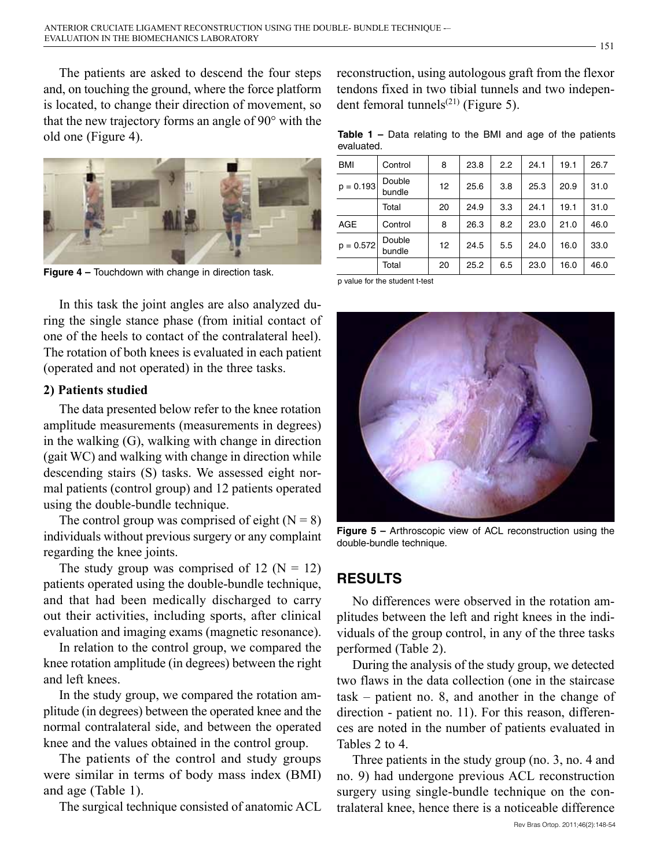The patients are asked to descend the four steps and, on touching the ground, where the force platform is located, to change their direction of movement, so that the new trajectory forms an angle of 90° with the old one (Figure 4).



**Figure 4 –** Touchdown with change in direction task.

In this task the joint angles are also analyzed during the single stance phase (from initial contact of one of the heels to contact of the contralateral heel). The rotation of both knees is evaluated in each patient (operated and not operated) in the three tasks.

#### **2) Patients studied**

The data presented below refer to the knee rotation amplitude measurements (measurements in degrees) in the walking (G), walking with change in direction (gait WC) and walking with change in direction while descending stairs (S) tasks. We assessed eight normal patients (control group) and 12 patients operated using the double-bundle technique.

The control group was comprised of eight  $(N = 8)$ individuals without previous surgery or any complaint regarding the knee joints.

The study group was comprised of 12 ( $N = 12$ ) patients operated using the double-bundle technique, and that had been medically discharged to carry out their activities, including sports, after clinical evaluation and imaging exams (magnetic resonance).

In relation to the control group, we compared the knee rotation amplitude (in degrees) between the right and left knees.

In the study group, we compared the rotation amplitude (in degrees) between the operated knee and the normal contralateral side, and between the operated knee and the values obtained in the control group.

The patients of the control and study groups were similar in terms of body mass index (BMI) and age (Table 1).

The surgical technique consisted of anatomic ACL

reconstruction, using autologous graft from the flexor tendons fixed in two tibial tunnels and two independent femoral tunnels $^{(21)}$  (Figure 5).

**Table 1 –** Data relating to the BMI and age of the patients evaluated.

| <b>BMI</b>  | Control          | 8  | 23.8 | 2.2 | 24.1 | 19.1 | 26.7 |
|-------------|------------------|----|------|-----|------|------|------|
| $p = 0.193$ | Double<br>bundle | 12 | 25.6 | 3.8 | 25.3 | 20.9 | 31.0 |
|             | Total            | 20 | 24.9 | 3.3 | 24.1 | 19.1 | 31.0 |
| AGE         | Control          | 8  | 26.3 | 8.2 | 23.0 | 21.0 | 46.0 |
| $p = 0.572$ | Double<br>bundle | 12 | 24.5 | 5.5 | 24.0 | 16.0 | 33.0 |
|             | Total            | 20 | 25.2 | 6.5 | 23.0 | 16.0 | 46.0 |

p value for the student t-test



**Figure 5 –** Arthroscopic view of ACL reconstruction using the double-bundle technique.

# **RESULTS**

No differences were observed in the rotation amplitudes between the left and right knees in the individuals of the group control, in any of the three tasks performed (Table 2).

During the analysis of the study group, we detected two flaws in the data collection (one in the staircase task – patient no. 8, and another in the change of direction - patient no. 11). For this reason, differences are noted in the number of patients evaluated in Tables 2 to 4.

Three patients in the study group (no. 3, no. 4 and no. 9) had undergone previous ACL reconstruction surgery using single-bundle technique on the contralateral knee, hence there is a noticeable difference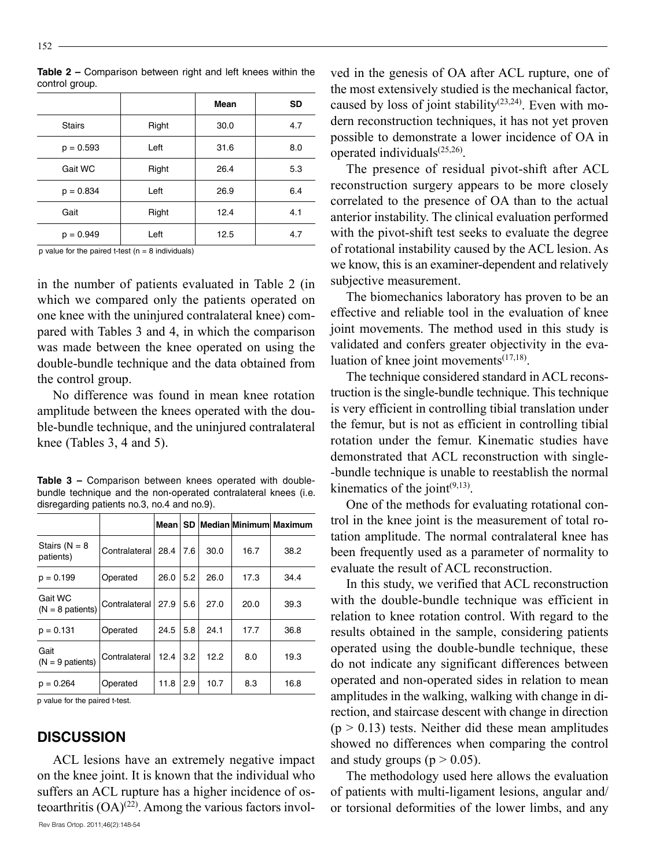|               |       | Mean | <b>SD</b> |
|---------------|-------|------|-----------|
| <b>Stairs</b> | Right | 30.0 | 4.7       |
| $p = 0.593$   | Left  | 31.6 | 8.0       |
| Gait WC       | Right | 26.4 | 5.3       |
| $p = 0.834$   | Left  | 26.9 | 6.4       |
| Gait          | Right | 12.4 | 4.1       |
| $p = 0.949$   | Left  | 12.5 | 4.7       |

**Table 2 –** Comparison between right and left knees within the control group.

p value for the paired t-test ( $n = 8$  individuals)

in the number of patients evaluated in Table 2 (in which we compared only the patients operated on one knee with the uninjured contralateral knee) compared with Tables 3 and 4, in which the comparison was made between the knee operated on using the double-bundle technique and the data obtained from the control group.

No difference was found in mean knee rotation amplitude between the knees operated with the double-bundle technique, and the uninjured contralateral knee (Tables 3, 4 and 5).

**Table 3 –** Comparison between knees operated with doublebundle technique and the non-operated contralateral knees (i.e. disregarding patients no.3, no.4 and no.9).

|                               |                    | Mean I |     |      |      | SD   Median   Minimum   Maximum |
|-------------------------------|--------------------|--------|-----|------|------|---------------------------------|
| Stairs ( $N = 8$<br>patients) | Contralateral 28.4 |        | 7.6 | 30.0 | 16.7 | 38.2                            |
| $p = 0.199$                   | Operated           | 26.0   | 5.2 | 26.0 | 17.3 | 34.4                            |
| Gait WC<br>$(N = 8$ patients) | Contralateral 27.9 |        | 5.6 | 27.0 | 20.0 | 39.3                            |
| $p = 0.131$                   | Operated           | 24.5   | 5.8 | 24.1 | 17.7 | 36.8                            |
| Gait<br>$(N = 9$ patients)    | Contralateral      | 12.4   | 3.2 | 12.2 | 8.0  | 19.3                            |
| $p = 0.264$                   | Operated           | 11.8   | 2.9 | 10.7 | 8.3  | 16.8                            |

p value for the paired t-test.

#### **DISCUSSION**

Rev Bras Ortop. 2011;46(2):148-54 ACL lesions have an extremely negative impact on the knee joint. It is known that the individual who suffers an ACL rupture has a higher incidence of osteoarthritis  $(OA)^{(22)}$ . Among the various factors invol-

ved in the genesis of OA after ACL rupture, one of the most extensively studied is the mechanical factor, caused by loss of joint stability<sup> $(23,24)$ </sup>. Even with modern reconstruction techniques, it has not yet proven possible to demonstrate a lower incidence of OA in operated individuals $^{(25,26)}$ .

The presence of residual pivot-shift after ACL reconstruction surgery appears to be more closely correlated to the presence of OA than to the actual anterior instability. The clinical evaluation performed with the pivot-shift test seeks to evaluate the degree of rotational instability caused by the ACL lesion. As we know, this is an examiner-dependent and relatively subjective measurement.

The biomechanics laboratory has proven to be an effective and reliable tool in the evaluation of knee joint movements. The method used in this study is validated and confers greater objectivity in the evaluation of knee joint movements $(17,18)$ .

The technique considered standard in ACL reconstruction is the single-bundle technique. This technique is very efficient in controlling tibial translation under the femur, but is not as efficient in controlling tibial rotation under the femur. Kinematic studies have demonstrated that ACL reconstruction with single- -bundle technique is unable to reestablish the normal kinematics of the joint $(9,13)$ .

One of the methods for evaluating rotational control in the knee joint is the measurement of total rotation amplitude. The normal contralateral knee has been frequently used as a parameter of normality to evaluate the result of ACL reconstruction.

In this study, we verified that ACL reconstruction with the double-bundle technique was efficient in relation to knee rotation control. With regard to the results obtained in the sample, considering patients operated using the double-bundle technique, these do not indicate any significant differences between operated and non-operated sides in relation to mean amplitudes in the walking, walking with change in direction, and staircase descent with change in direction  $(p > 0.13)$  tests. Neither did these mean amplitudes showed no differences when comparing the control and study groups ( $p > 0.05$ ).

The methodology used here allows the evaluation of patients with multi-ligament lesions, angular and/ or torsional deformities of the lower limbs, and any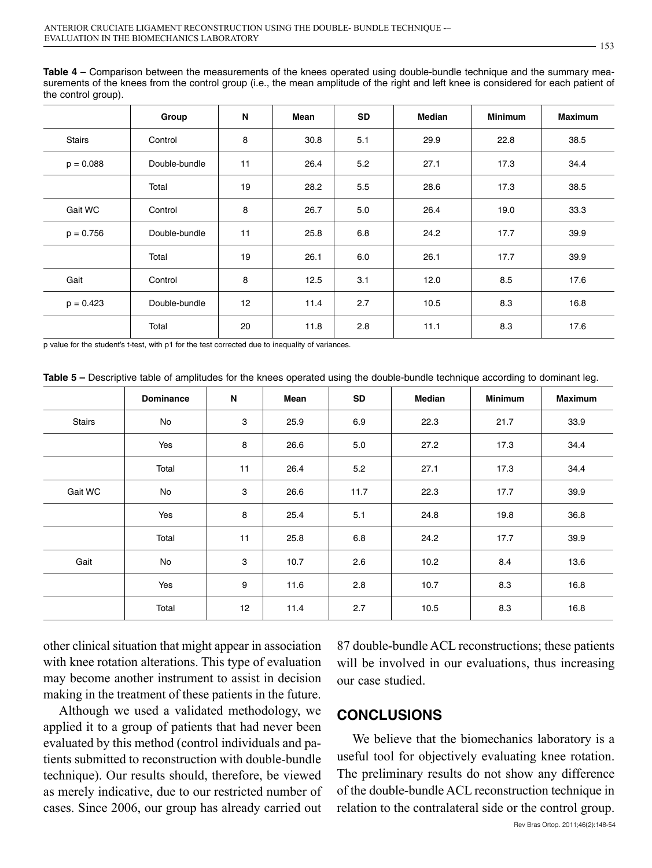**Table 4 –** Comparison between the measurements of the knees operated using double-bundle technique and the summary measurements of the knees from the control group (i.e., the mean amplitude of the right and left knee is considered for each patient of the control group).

|               | Group         | N  | Mean | <b>SD</b> | <b>Median</b> | <b>Minimum</b> | <b>Maximum</b> |
|---------------|---------------|----|------|-----------|---------------|----------------|----------------|
| <b>Stairs</b> | Control       | 8  | 30.8 | 5.1       | 29.9          | 22.8           | 38.5           |
| $p = 0.088$   | Double-bundle | 11 | 26.4 | 5.2       | 27.1          | 17.3           | 34.4           |
|               | Total         | 19 | 28.2 | 5.5       | 28.6          | 17.3           | 38.5           |
| Gait WC       | Control       | 8  | 26.7 | 5.0       | 26.4          | 19.0           | 33.3           |
| $p = 0.756$   | Double-bundle | 11 | 25.8 | 6.8       | 24.2          | 17.7           | 39.9           |
|               | Total         | 19 | 26.1 | 6.0       | 26.1          | 17.7           | 39.9           |
| Gait          | Control       | 8  | 12.5 | 3.1       | 12.0          | 8.5            | 17.6           |
| $p = 0.423$   | Double-bundle | 12 | 11.4 | 2.7       | 10.5          | 8.3            | 16.8           |
|               | Total         | 20 | 11.8 | 2.8       | 11.1          | 8.3            | 17.6           |

p value for the student's t-test, with p1 for the test corrected due to inequality of variances.

**Table 5 –** Descriptive table of amplitudes for the knees operated using the double-bundle technique according to dominant leg.

|         | <b>Dominance</b> | N  | Mean | <b>SD</b> | Median | <b>Minimum</b> | <b>Maximum</b> |
|---------|------------------|----|------|-----------|--------|----------------|----------------|
| Stairs  | No               | 3  | 25.9 | 6.9       | 22.3   | 21.7           | 33.9           |
|         | Yes              | 8  | 26.6 | 5.0       | 27.2   | 17.3           | 34.4           |
|         | Total            | 11 | 26.4 | 5.2       | 27.1   | 17.3           | 34.4           |
| Gait WC | No               | 3  | 26.6 | 11.7      | 22.3   | 17.7           | 39.9           |
|         | Yes              | 8  | 25.4 | 5.1       | 24.8   | 19.8           | 36.8           |
|         | Total            | 11 | 25.8 | 6.8       | 24.2   | 17.7           | 39.9           |
| Gait    | No               | 3  | 10.7 | 2.6       | 10.2   | 8.4            | 13.6           |
|         | Yes              | 9  | 11.6 | 2.8       | 10.7   | 8.3            | 16.8           |
|         | Total            | 12 | 11.4 | 2.7       | 10.5   | 8.3            | 16.8           |

other clinical situation that might appear in association with knee rotation alterations. This type of evaluation may become another instrument to assist in decision making in the treatment of these patients in the future.

Although we used a validated methodology, we applied it to a group of patients that had never been evaluated by this method (control individuals and patients submitted to reconstruction with double-bundle technique). Our results should, therefore, be viewed as merely indicative, due to our restricted number of cases. Since 2006, our group has already carried out

87 double-bundle ACL reconstructions; these patients will be involved in our evaluations, thus increasing our case studied.

#### **CONCLUSIONS**

We believe that the biomechanics laboratory is a useful tool for objectively evaluating knee rotation. The preliminary results do not show any difference of the double-bundle ACL reconstruction technique in relation to the contralateral side or the control group.